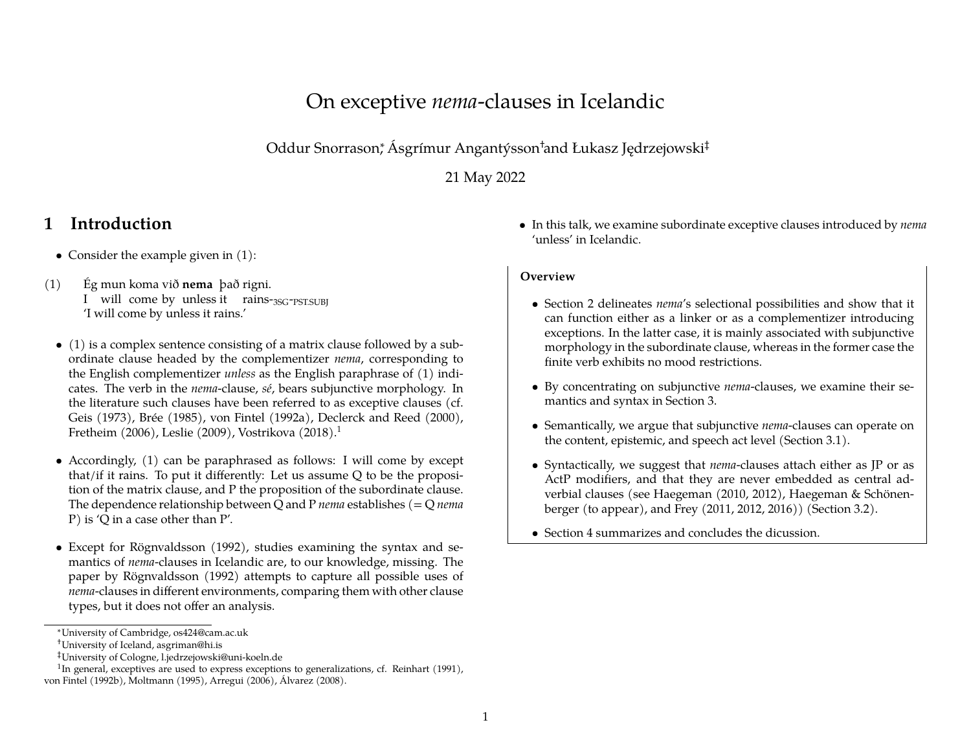### On exceptive *nema*-clauses in Icelandic

Oddur Snorrason<sup>∗</sup> , Ásgrímur Angantýsson†and Łukasz Jędrzejowski‡

21 May 2022

### **1 Introduction**

- Consider the example given in [\(1\):](#page-0-0)
- <span id="page-0-0"></span> $(1)$ I will come by unless it rains-<sub>3SG</sub>-<sub>PST.SUBJ</sub> mun koma við **nema** það rigni. 'I will come by unless it rains.'
	- [\(1\)](#page-0-0) is a complex sentence consisting of a matrix clause followed by a subordinate clause headed by the complementizer *nema*, corresponding to the English complementizer *unless* as the English paraphrase of (1) indicates. The verb in the *nema*-clause, *sé*, bears subjunctive morphology. In the literature such clauses have been referred to as exceptive clauses (cf. Geis [\(1973](#page-6-0)), Brée([1985\)](#page-6-1), von Fintel([1992a\)](#page-6-2), Declerck and Reed [\(2000\)](#page-6-3), Fretheim([2006\)](#page-6-4), Leslie([2009\)](#page-6-5), Vostrikova([2018\)](#page-6-6).[1](#page-0-1)
	- Accordingly, (1) can be paraphrased as follows: I will come by except that/if it rains. To put it differently: Let us assume Q to be the proposition of the matrix clause, and P the proposition of the subordinate clause. The dependence relationship between Q and P *nema* establishes (= Q *nema* P) is 'Q in a case other than P'.
	- Except for Rögnvaldsson [\(1992](#page-6-7)), studies examining the syntax and semantics of *nema*-clauses in Icelandic are, to our knowledge, missing. The paper by Rögnvaldsson([1992\)](#page-6-7) attempts to capture all possible uses of *nema*-clauses in different environments, comparing them with other clause types, but it does not offer an analysis.

• In this talk, we examine subordinate exceptive clauses introduced by *nema* 'unless' in Icelandic.

#### **Overview**

- Section [2](#page-1-0) delineates *nema*'s selectional possibilities and show that it can function either as a linker or as a complementizer introducing exceptions. In the latter case, it is mainly associated with subjunctive morphology in the subordinate clause, whereas in the former case the finite verb exhibits no mood restrictions.
- By concentrating on subjunctive *nema*-clauses, we examine their semantics and syntax in Section [3](#page-2-0).
- Semantically, we argue that subjunctive *nema*-clauses can operate on the content, epistemic, and speech act level (Section [3.1](#page-2-1)).
- Syntactically, we suggest that *nema*-clauses attach either as JP or as ActP modifiers, and that they are never embedded as central adverbial clauses (see Haegeman [\(2010](#page-6-13), [2012\)](#page-6-14), Haegeman & Schönenberger (to appear), and Frey ([2011](#page-6-15), [2012](#page-6-16), [2016](#page-6-17))) (Section [3.2](#page-3-0)).
- Section [4](#page-5-0) summarizes and concludes the dicussion.

<sup>∗</sup>University of Cambridge, os424@cam.ac.uk

<sup>†</sup>University of Iceland, asgriman@hi.is

<span id="page-0-1"></span><sup>‡</sup>University of Cologne, l.jedrzejowski@uni-koeln.de

<sup>&</sup>lt;sup>1</sup>In general, exceptives are used to express exceptions to generalizations, cf. Reinhart [\(1991](#page-6-8)), von Fintel([1992b](#page-6-9)), Moltmann [\(1995](#page-6-10)), Arregui [\(2006](#page-6-11)), Álvarez [\(2008](#page-6-12)).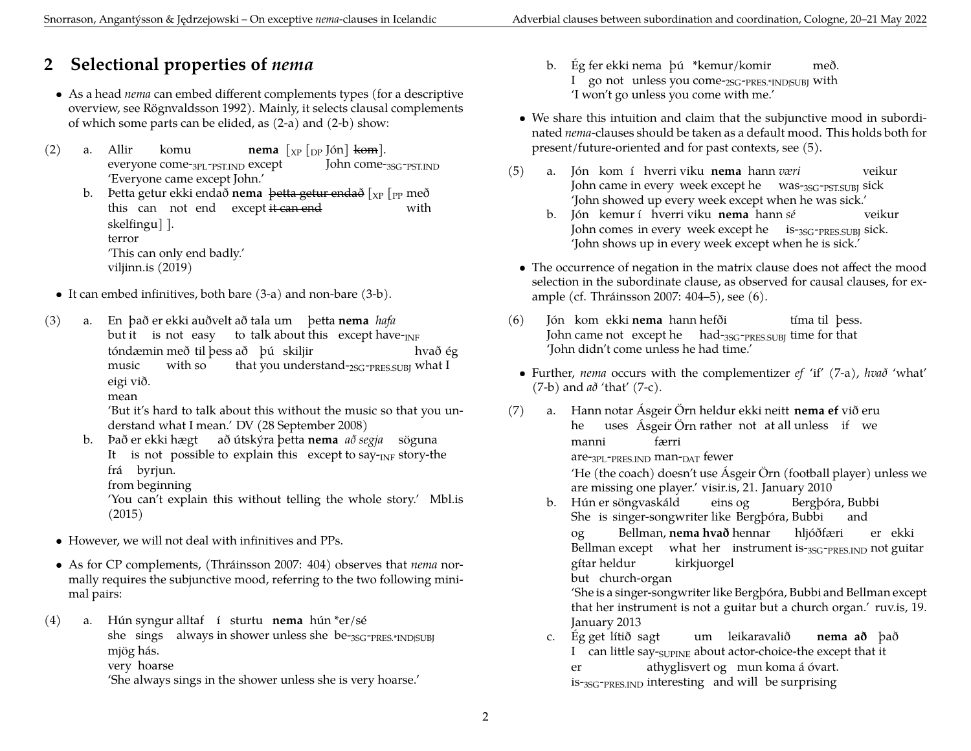# <span id="page-1-0"></span>**2 Selectional properties of** *nema*

- As a head *nema* can embed different complements types (for a descriptive overview, see Rögnvaldsson 1992). Mainly, it selects clausal complements of which some parts can be elided, as [\(2-a\)](#page-1-1) and [\(2-b\)](#page-1-2) show:
- <span id="page-1-2"></span><span id="page-1-1"></span>(2) a. Allir everyone come-3PL-PST.IND except komu **nema** [XP [DP Jón] kom]. John come-3SG-PST.IND 'Everyone came except John.'
	- b. Þetta getur ekki endað **nema** þe<del>tta getur endað</del> [<sub>XP</sub> [<sub>PP</sub> með this can not end except=<del>it-can-end</del> with skelfingu] ]. terror 'This can only end badly.' [viljinn.is \(2019\)](https://viljinn.is/adsendar-greinar/meiri-hattar-leidretting-liggur-i-loftinu/)
	- It can embed infinitives, both bare [\(3-a\)](#page-1-3) and non-bare [\(3-b\)](#page-1-4).
- <span id="page-1-3"></span>(3) a. En það er ekki auðvelt að tala um þetta **nema** *hafa* but it ) is not easy ) to talk about this (except have- $_{\rm INF}$ tóndæmin með til þess að þú skiljir music with so that you understand-<sub>2SG</sub>-<sub>PRES.SUBJ</sub> what I hvað ég eigi við.

mean

'But it's hard to talk about this without the music so that you understand what I mean.' [DV \(28 September 2008\)](https://timarit.is/page/6456746#page/n24/mode/2up)

- <span id="page-1-4"></span>b. Það er ekki hægt það útskýra þetta **nema** að segja þsöguna It  $\;$  is not possible to explain this  $\;$  except to say- $_{\rm INF}$  story-the frá byrjun.
	- from beginning

'You can't explain this without telling the whole story.' [Mbl.is](https://www.mbl.is/frettir/innlent/2015/07/12/strandid_skildi_eftir_or_a_salinni/) [\(2015\)](https://www.mbl.is/frettir/innlent/2015/07/12/strandid_skildi_eftir_or_a_salinni/)

- However, we will not deal with infinitives and PPs.
- As for CP complements,([Thráinsson](#page-6-18) [2007:](#page-6-18) 404) observes that *nema* normally requires the subjunctive mood, referring to the two following minimal pairs:

(4) a. Hún syngur alltaf í sturtu **nema** hún \*er/sé she sings always in shower unless she be-<sub>3SG</sub>-<sub>PRES.\*IND|SUBJ</sub> mjög hás.

very hoarse

'She always sings in the shower unless she is very hoarse.'

- b. Ég fer ekki nema þú \*kemur/komir I go not unless you come-2SG-PRES.\*IND|SUBJ with með. 'I won't go unless you come with me.'
- We share this intuition and claim that the subjunctive mood in subordinated *nema*-clauses should be taken as a default mood. This holds both for present/future-oriented and for past contexts, see [\(5\)](#page-1-5).
- <span id="page-1-5"></span>(5) a. Jón kom í hverri viku **nema** hann *væri* John came in every week except he was-<sub>3SG</sub>-<sub>PST.SUBJ</sub> sick veikur 'John showed up every week except when he was sick.'
	- b. Jón kemur í hverri viku **nema** hann *sé* John comes in every week except he is-3SG-PRES.SUBJ sick. veikur 'John shows up in every week except when he is sick.'
	- The occurrence of negation in the matrix clause does not affect the mood selection in the subordinate clause, as observed for causal clauses, for example (cf. [Thráinsson](#page-6-18) [2007](#page-6-18): 404–5), see [\(6\).](#page-1-6)
- <span id="page-1-6"></span>(6) Jón kom ekki **nema** hann hefði John came not  $\,$  except he  $\,$   $\,$  had- $_{3SG}\text{-pRES.SUBJ}}$  time for that tíma til þess. 'John didn't come unless he had time.'
- Further, *nema* occurs with the complementizer *ef* 'if' [\(7-a\)](#page-1-7), *hvað* 'what' [\(7-b\)](#page-1-8) and *að* 'that' [\(7-c\).](#page-1-9)
- <span id="page-1-9"></span><span id="page-1-8"></span><span id="page-1-7"></span>(7) a. Hann notar Asgeir Orn heldur ekki neitt **nema ef** við eru he uses Ásgeir Örn rather not at all unless if we manni are-3PL-PRES.IND man-DAT fewer færri 'He (the coach) doesn't use Ásgeir Örn (football player) unless we are missing one player.' [visir.is, 21. January 2010](https://www.visir.is/g/2010919432260) b. Hún er söngvaskáld She is singer-songwriter like Bergþóra, Bubbi eins og Bergþóra, Bubbi and og Bellman except – what her – instrument is-<sub>3SG</sub>-<sub>PRES.IND</sub> not guitar Bellman, **nema hvað** hennar hljóðfæri er ekki gítar heldur but church-organ kirkjuorgel 'She is a singer-songwriter like Bergþóra, Bubbi and Bellman except that her instrument is not a guitar but a church organ.' [ruv.is, 19.](https://www.ruv.is/node/610543) [January 2013](https://www.ruv.is/node/610543) c. Ég get lítið sagt I ) can little say-<sub>SUPINE</sub> about actor-choice-the except that it um leikaravalið **nema að** það er is-3SG-PRES.IND interesting and will be surprising athyglisvert og mun koma á óvart.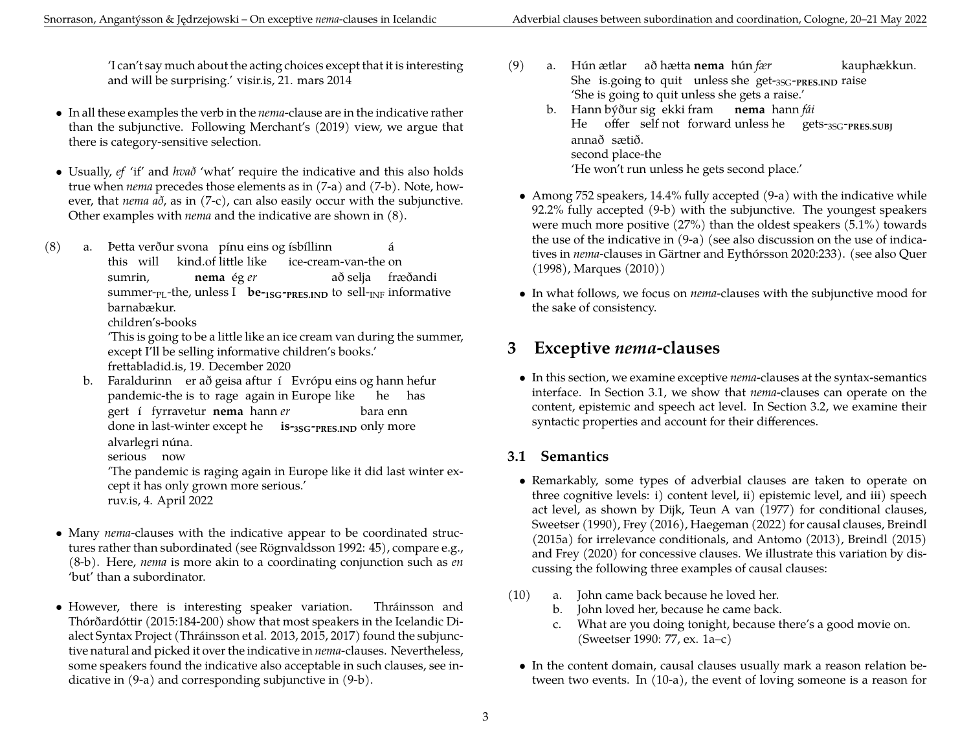'I can't say much about the acting choices except that it is interesting and will be surprising.' [visir.is, 21. mars 2014](https://www.visir.is/g/2014703219953)

- In all these examples the verb in the *nema*-clause are in the indicative rather than the subjunctive. Following Merchant's [\(2019](#page-6-19)) view, we argue that there is category-sensitive selection.
- Usually, *ef* 'if' and *hvað* 'what' require the indicative and this also holds true when *nema* precedes those elements as in [\(7-a\)](#page-1-7) and [\(7-b\).](#page-1-8) Note, however, that *nema að*, as in [\(7-c\),](#page-1-9) can also easily occur with the subjunctive. Other examples with *nema* and the indicative are shown in [\(8\).](#page-2-2)
- <span id="page-2-2"></span>(8) a. Þetta verður svona pínu eins og ísbíllinn this will kind.of little like ice-cream-van-the on á sumrin,  $\mathbf{s}$ ummer-<sub>PL</sub>-the, unless I  $\mathbf{b}$ **e-** $\mathbf{1s}$ **G-** $\mathbf{p}$ **res.ind** to sell- $\mathbf{p}$ F informative **nema** ég *er* að selja fræðandi barnabækur.

children's-books

'This is going to be a little like an ice cream van during the summer, except I'll be selling informative children's books.' [frettabladid.is, 19. December 2020](https://www.frettabladid.is/lifid/me-bokabu-a-hjolum-fyrir-jol/)

<span id="page-2-3"></span>b. Faraldurinn er að geisa aftur í Evrópu eins og hann hefur pandemic-the is to rage again in Europe like he has gert í fyrravetur **nema** hann *er* done in last-winter except he **is-3SG-PRES.IND** only more bara enn alvarlegri núna.

serious now

'The pandemic is raging again in Europe like it did last winter except it has only grown more serious.' [ruv.is, 4. April 2022](https://www.ruv.is/frett/2022/04/07/skaed-fuglaflensa-greinist-i-haferni-her-a-landi)

- Many *nema*-clauses with the indicative appear to be coordinated structures rather than subordinated (see Rögnvaldsson [1992](#page-6-7): 45), compare e.g., [\(8-b\).](#page-2-3) Here, *nema* is more akin to a coordinating conjunction such as *en* 'but' than a subordinator.
- However, there is interesting speaker variation. Thráinsson and Thórðardóttir (2015:184-200) show that most speakers in the Icelandic Dialect Syntax Project (Thráinsson et al. [2013,](#page-6-20) [2015](#page-6-21), [2017\)](#page-6-22) found the subjunctive natural and picked it over the indicative in *nema*-clauses. Nevertheless, some speakers found the indicative also acceptable in such clauses, see indicative in [\(9-a\)](#page-2-4) and corresponding subjunctive in [\(9-b\).](#page-2-5)

<span id="page-2-5"></span><span id="page-2-4"></span>(9) a. Hún ætlar að hætta **nema** hún *fær* She is.going to quit unless she get-<sub>3SG</sub>-<sub>PRES.IND</sub> raise kauphækkun. 'She is going to quit unless she gets a raise.' b. Hann býður sig ekki fram **nema** hann *fái* He offer self not forward unless he gets-3SG-**PRES.SUBJ** annað sætið.

second place-the

```
'He won't run unless he gets second place.'
```
- Among 752 speakers, 14.4% fully accepted [\(9-a\)](#page-2-4) with the indicative while 92.2% fully accepted [\(9-b\)](#page-2-5) with the subjunctive. The youngest speakers were much more positive (27%) than the oldest speakers (5.1%) towards the use of the indicative in [\(9-a\)](#page-2-4) (see also discussion on the use of indicatives in *nema*-clauses in Gärtner and Eythórsson 2020:233). (see also [Quer](#page-6-23) [\(1998](#page-6-23)), [Marques](#page-6-24) ([2010\)](#page-6-24))
- In what follows, we focus on *nema*-clauses with the subjunctive mood for the sake of consistency.

### <span id="page-2-0"></span>**3 Exceptive** *nema***-clauses**

• In this section, we examine exceptive *nema*-clauses at the syntax-semantics interface. In Section [3.1](#page-2-1), we show that *nema*-clauses can operate on the content, epistemic and speech act level. In Section [3.2,](#page-3-0) we examine their syntactic properties and account for their differences.

### <span id="page-2-1"></span>**3.1 Semantics**

- Remarkably, some types of adverbial clauses are taken to operate on three cognitive levels: i) content level, ii) epistemic level, and iii) speech act level, as shown by [Dijk, Teun A van](#page-6-25) ([1977\)](#page-6-25) for conditional clauses, [Sweetser](#page-6-26) [\(1990](#page-6-26)), [Frey](#page-6-17) [\(2016](#page-6-17)), [Haegeman](#page-6-27) [\(2022](#page-6-27)) for causal clauses, Breindl (2015a) for irrelevance conditionals, and [Antomo](#page-6-28) [\(2013](#page-6-28)), [Breindl](#page-6-29) ([2015](#page-6-29)) and [Frey](#page-6-30) ([2020\)](#page-6-30) for concessive clauses. We illustrate this variation by discussing the following three examples of causal clauses:
- <span id="page-2-7"></span><span id="page-2-6"></span>(10) a. John came back because he loved her.
	- b. John loved her, because he came back.
	- c. What are you doing tonight, because there's a good movie on. [\(Sweetser](#page-6-26) [1990:](#page-6-26) 77, ex. 1a–c)
	- In the content domain, causal clauses usually mark a reason relation between two events. In [\(10-a\)](#page-2-6), the event of loving someone is a reason for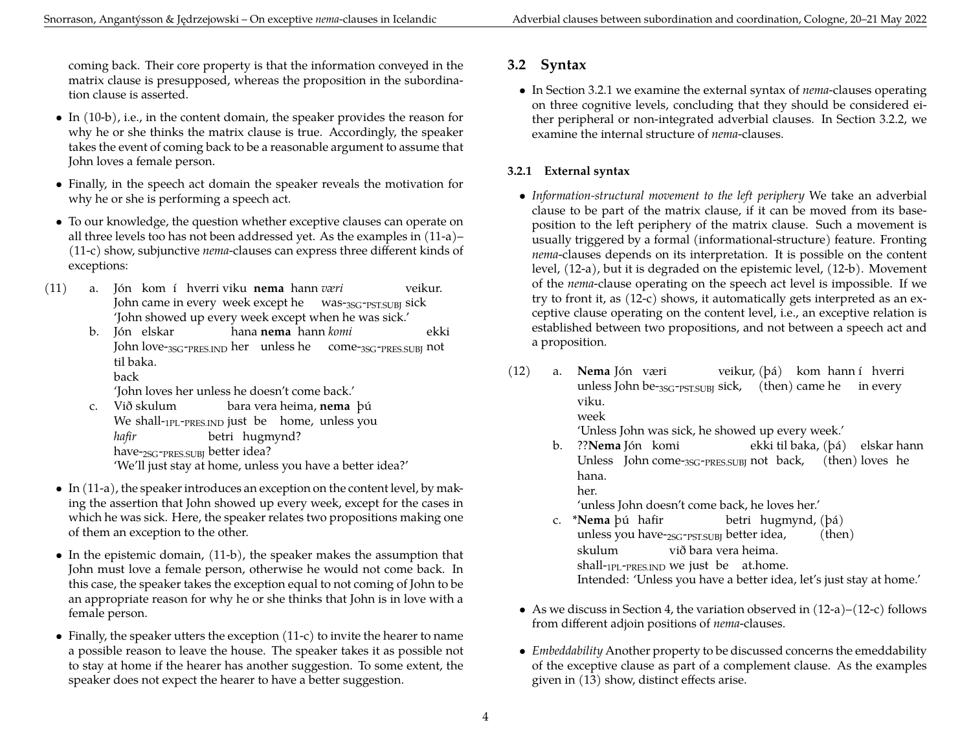coming back. Their core property is that the information conveyed in the matrix clause is presupposed, whereas the proposition in the subordination clause is asserted.

- In [\(10-b\),](#page-2-7) i.e., in the content domain, the speaker provides the reason for why he or she thinks the matrix clause is true. Accordingly, the speaker takes the event of coming back to be a reasonable argument to assume that John loves a female person.
- Finally, in the speech act domain the speaker reveals the motivation for why he or she is performing a speech act.
- To our knowledge, the question whether exceptive clauses can operate on all three levels too has not been addressed yet. As the examples in [\(11-a\)](#page-3-1)– [\(11-c\)](#page-3-2) show, subjunctive *nema*-clauses can express three different kinds of exceptions:
- <span id="page-3-3"></span><span id="page-3-1"></span> $(11)$  a. John came in every week except he was-<sub>3SG</sub>-<sub>PST.SUBJ</sub> sick kom í hverri viku **nema** hann *væri* veikur. 'John showed up every week except when he was sick.'
	- b. Jón elskar John love-<sub>3SG-PRES.IND</sub> her unless he come-<sub>3SG-PRES.SUBJ</sub> not hana **nema** hann *komi* ekki til baka. back

'John loves her unless he doesn't come back.'

- <span id="page-3-2"></span>c. Við skulum We shall-<sub>1PL</sub>-<sub>PRES.IND</sub> just be home, unless you bara vera heima, **nema** þú *hafir* have-<sub>2SG</sub>-<sub>PRES.SUBJ</sub> better idea? betri hugmynd? 'We'll just stay at home, unless you have a better idea?'
- In [\(11-a\)](#page-3-1), the speaker introduces an exception on the content level, by making the assertion that John showed up every week, except for the cases in which he was sick. Here, the speaker relates two propositions making one of them an exception to the other.
- In the epistemic domain, [\(11-b\),](#page-3-3) the speaker makes the assumption that John must love a female person, otherwise he would not come back. In this case, the speaker takes the exception equal to not coming of John to be an appropriate reason for why he or she thinks that John is in love with a female person.
- Finally, the speaker utters the exception [\(11-c\)](#page-3-2) to invite the hearer to name a possible reason to leave the house. The speaker takes it as possible not to stay at home if the hearer has another suggestion. To some extent, the speaker does not expect the hearer to have a better suggestion.

### <span id="page-3-0"></span>**3.2 Syntax**

• In Section [3.2.1](#page-3-4) we examine the external syntax of *nema*-clauses operating on three cognitive levels, concluding that they should be considered either peripheral or non-integrated adverbial clauses. In Section [3.2.2](#page-4-0), we examine the internal structure of *nema*-clauses.

#### <span id="page-3-4"></span>**3.2.1 External syntax**

- *Information-structural movement to the left periphery* We take an adverbial clause to be part of the matrix clause, if it can be moved from its baseposition to the left periphery of the matrix clause. Such a movement is usually triggered by a formal (informational-structure) feature. Fronting *nema*-clauses depends on its interpretation. It is possible on the content level, [\(12-a\)](#page-3-5), but it is degraded on the epistemic level, [\(12-b\)](#page-3-6). Movement of the *nema*-clause operating on the speech act level is impossible. If we try to front it, as [\(12-c\)](#page-3-7) shows, it automatically gets interpreted as an exceptive clause operating on the content level, i.e., an exceptive relation is established between two propositions, and not between a speech act and a proposition.
- <span id="page-3-5"></span>(12) a. **Nema** Jón væri unless John be-<sub>3SG</sub>-<sub>PST.SUBJ</sub> sick, (then) came he in every veikur, (þá) kom hann í hverri viku. week

'Unless John was sick, he showed up every week.'

<span id="page-3-6"></span>b. ??**Nema** Jón komi Unless John come-35G-PRES.SUBJ not back, (then) loves he ekki til baka, (þá) elskar hann hana.

her.

'unless John doesn't come back, he loves her.'

- <span id="page-3-7"></span>c. \***Nema** þú hafir unless you have-<sub>2SG</sub>-<sub>PST.SUBJ</sub> better idea, betri hugmynd, (þá) (then) skulum shall-1PL-PRES.IND we just be at.home. við bara vera heima. Intended: 'Unless you have a better idea, let's just stay at home.'
- As we discuss in Section [4,](#page-5-0) the variation observed in  $(12-a)-(12-c)$  $(12-a)-(12-c)$  follows from different adjoin positions of *nema*-clauses.
- <span id="page-3-8"></span>• *Embeddability* Another property to be discussed concerns the emeddability of the exceptive clause as part of a complement clause. As the examples given in [\(13\)](#page-3-8) show, distinct effects arise.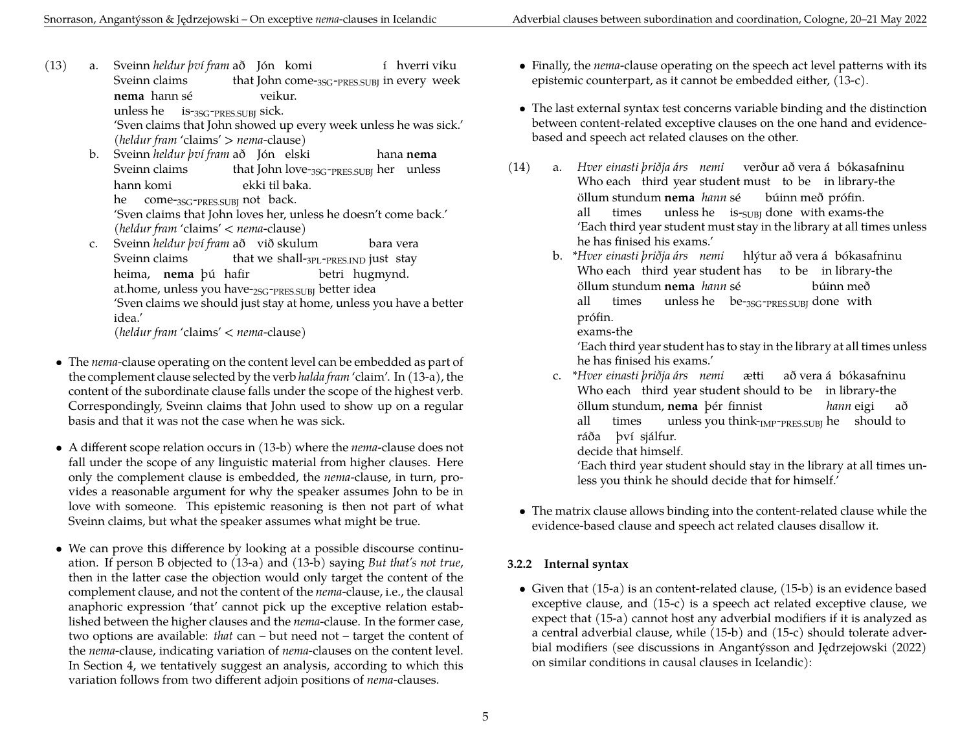<span id="page-4-1"></span>(13) a. Sveinn *heldur því fram* að Jón komi Sveinn claims that John come-<sub>3SG</sub>-<sub>PRES.SUBJ</sub> in every week í hverri viku **nema** hann sé unless he is-3SG-PRES.SUBJ sick. veikur.

'Sven claims that John showed up every week unless he was sick.' (*heldur fram* 'claims' > *nema*-clause)

<span id="page-4-2"></span>b. Sveinn *heldur því fram* að Jón elski Sveinn claims that John love-<sub>3SG</sub>-<sub>PRES.SUBJ</sub> her unless hana **nema** hann komi he come-<sub>3SG</sub>-<sub>PRES.SUBJ</sub> not back. ekki til baka.

'Sven claims that John loves her, unless he doesn't come back.' (*heldur fram* 'claims' < *nema*-clause)

<span id="page-4-3"></span>c. Sveinn *heldur því fram* að við skulum Sveinn claims that we shall-<sub>3PL</sub>-<sub>PRES.IND</sub> just stay bara vera heima, **nema**þú hafir at.home, unless you have-<sub>2SG</sub>-<sub>PRES.SUBJ</sub> better idea betri hugmynd. 'Sven claims we should just stay at home, unless you have a better idea.'

(*heldur fram* 'claims' < *nema*-clause)

- The *nema*-clause operating on the content level can be embedded as part of the complement clause selected by the verb *halda fram* 'claim'. In [\(13-a\),](#page-4-1) the content of the subordinate clause falls under the scope of the highest verb. Correspondingly, Sveinn claims that John used to show up on a regular basis and that it was not the case when he was sick.
- A different scope relation occurs in [\(13-b\)](#page-4-2) where the *nema*-clause does not fall under the scope of any linguistic material from higher clauses. Here only the complement clause is embedded, the *nema*-clause, in turn, provides a reasonable argument for why the speaker assumes John to be in love with someone. This epistemic reasoning is then not part of what Sveinn claims, but what the speaker assumes what might be true.
- We can prove this difference by looking at a possible discourse continuation. If person B objected to [\(13-a\)](#page-4-1) and [\(13-b\)](#page-4-2) saying *But that's not true*, then in the latter case the objection would only target the content of the complement clause, and not the content of the *nema*-clause, i.e., the clausal anaphoric expression 'that' cannot pick up the exceptive relation established between the higher clauses and the *nema*-clause. In the former case, two options are available: *that* can – but need not – target the content of the *nema*-clause, indicating variation of *nema*-clauses on the content level. In Section [4,](#page-5-0) we tentatively suggest an analysis, according to which this variation follows from two different adjoin positions of *nema*-clauses.
- Finally, the *nema*-clause operating on the speech act level patterns with its epistemic counterpart, as it cannot be embedded either, [\(13-c\)](#page-4-3).
- The last external syntax test concerns variable binding and the distinction between content-related exceptive clauses on the one hand and evidencebased and speech act related clauses on the other.
- (14) a. *Hver einasti þriðja árs nemi* verður að vera á bókasafninu Who each third year student must to be in library-the öllum stundum **nema** *hann* sé all times unless he  $\;$  is-<sub>SUBJ</sub> done with exams-the búinn með prófin. 'Each third year student must stay in the library at all times unless he has finised his exams.'
	- b. \**Hver einasti þriðja árs nemi* hlýtur að vera á bókasafninu Who each third year student has to be in library-the öllum stundum **nema** *hann* sé all times unless he be-<sub>3SG</sub>-<sub>PRES.SUBJ</sub> done with búinn með prófin.

exams-the

'Each third year student has to stay in the library at all times unless he has finised his exams.'

c. \**Hver einasti þriðja árs nemi* Who each third year student should to be in library-the ætti að vera á bókasafninu öllum stundum, **nema** þér finnist all times unless you think- $_{\text{IMP-PRES.SUBJ}}$  he should to *hann* eigi að ráða því sjálfur. decide that himself.

'Each third year student should stay in the library at all times unless you think he should decide that for himself.'

• The matrix clause allows binding into the content-related clause while the evidence-based clause and speech act related clauses disallow it.

#### <span id="page-4-0"></span>**3.2.2 Internal syntax**

<span id="page-4-4"></span>• Given that [\(15-a\)](#page-4-4) is an content-related clause, [\(15-b\)](#page-5-1) is an evidence based exceptive clause, and [\(15-c\)](#page-5-2) is a speech act related exceptive clause, we expect that [\(15-a\)](#page-4-4) cannot host any adverbial modifiers if it is analyzed as a central adverbial clause, while [\(15-b\)](#page-5-1) and [\(15-c\)](#page-5-2) should tolerate adverbial modifiers (see discussions in Angantýsson and Jędrzejowski ([2022](#page-6-31)) on similar conditions in causal clauses in Icelandic):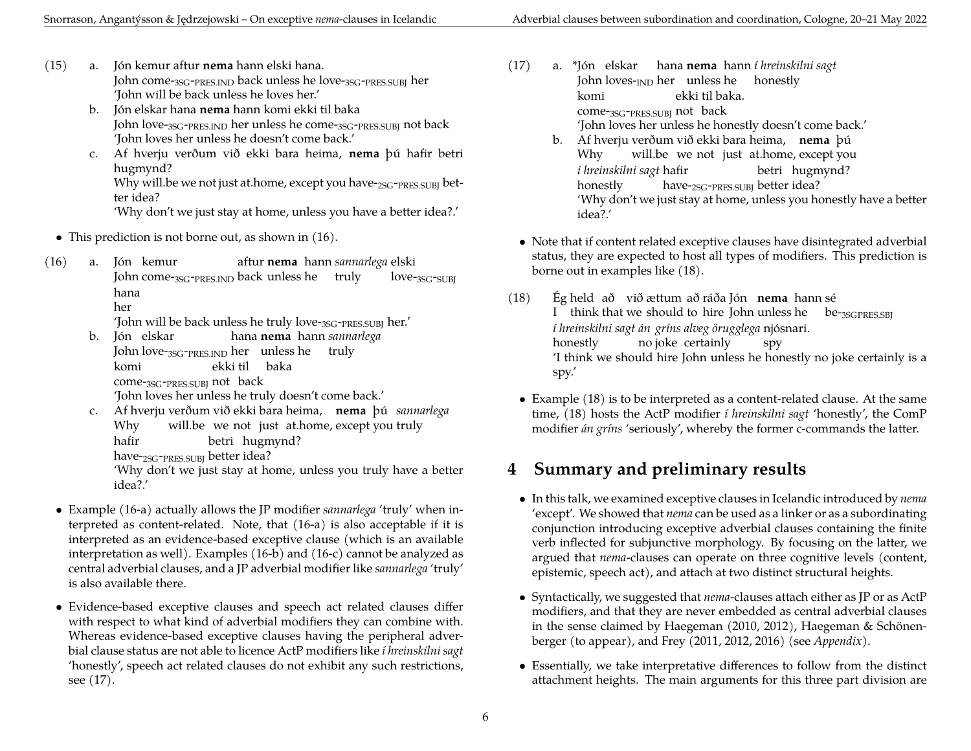- <span id="page-5-1"></span>(15) a. Jón kemur aftur **nema** hann elski hana. John come-3SG-PRES.IND back unless he love-3SG-PRES.SUBJ her 'John will be back unless he loves her.'
	- b. Jón elskar hana **nema** hann komi ekki til baka John love-3SG-PRES.IND her unless he come-3SG-PRES.SUBJ not back 'John loves her unless he doesn't come back.'
	- c. Af hverju verðum við ekki bara heima, **nema** þú hafir betri hugmynd?

<span id="page-5-2"></span>Why will.be we not just at.home, except you have-2SG-PRES.SUBJ better idea?

'Why don't we just stay at home, unless you have a better idea?.'

• This prediction is not borne out, as shown in  $(16)$ .

<span id="page-5-3"></span>(16) a. Jón kemur John come-<sub>3SG</sub>-<sub>PRES.IND</sub> back unless he truly aftur **nema** hann *sannarlega* elski love-3SG-SUBJ hana

her

'John will be back unless he truly love-3SG-PRES.SUBJ her.'

- <span id="page-5-4"></span>b. Jón elskar John love-<sub>3SG</sub>-<sub>PRES.IND</sub> her unless he truly hana **nema** hann *sannarlega* komi come-3SG-PRES.SUBJ not back ekki til baka 'John loves her unless he truly doesn't come back.'
- <span id="page-5-5"></span>c. Af hverju verðum við ekki bara heima, **nema** þú *sannarlega* Why will.be we not just at.home, except you truly hafir betri hugmynd?

have-<sub>2SG</sub>-<sub>PRES.SUBJ</sub> better idea?

'Why don't we just stay at home, unless you truly have a better idea?.'

- Example [\(16-a\)](#page-5-3) actually allows the JP modifier *sannarlega* 'truly' when interpreted as content-related. Note, that [\(16-a\)](#page-5-3) is also acceptable if it is interpreted as an evidence-based exceptive clause (which is an available interpretation as well). Examples [\(16-b\)](#page-5-4) and [\(16-c\)](#page-5-5) cannot be analyzed as central adverbial clauses, and a JP adverbial modifier like *sannarlega* 'truly' is also available there.
- <span id="page-5-6"></span>• Evidence-based exceptive clauses and speech act related clauses differ with respect to what kind of adverbial modifiers they can combine with. Whereas evidence-based exceptive clauses having the peripheral adverbial clause status are not able to licence ActP modifiers like *í hreinskilni sagt* 'honestly', speech act related clauses do not exhibit any such restrictions, see [\(17\)](#page-5-6).
- (17) a. \*Jón elskar hana **nema** hann *í hreinskilni sagt* John loves-<sub>IND</sub> her unless he honestly komi come-3SG-PRES.SUBJ not back ekki til baka. 'John loves her unless he honestly doesn't come back.'
	- b. Af hverju verðum við ekki bara heima, **nema** þú Why will.be we not just at.home, except you *í hreinskilni sagt* hafir honestly have-<sub>2SG</sub>-<sub>PRES.SUBJ</sub> better idea? betri hugmynd? 'Why don't we just stay at home, unless you honestly have a better idea?.'
- Note that if content related exceptive clauses have disintegrated adverbial status, they are expected to host all types of modifiers. This prediction is borne out in examples like [\(18\).](#page-5-7)
- <span id="page-5-7"></span> $(18)$ I think that we should to hire John unless he held að við ættum að ráða Jón **nema** hann sé be-3SGPRES.SBJ *í hreinskilni sagt án gríns alveg örugglega* njósnari. honestly no joke certainly spy 'I think we should hire John unless he honestly no joke certainly is a spy.'
	- Example [\(18\)](#page-5-7) is to be interpreted as a content-related clause. At the same time, [\(18\)](#page-5-7) hosts the ActP modifier *í hreinskilni sagt* 'honestly', the ComP modifier *án gríns* 'seriously', whereby the former c-commands the latter.

## <span id="page-5-0"></span>**4 Summary and preliminary results**

- In this talk, we examined exceptive clauses in Icelandic introduced by *nema* 'except'. We showed that *nema* can be used as a linker or as a subordinating conjunction introducing exceptive adverbial clauses containing the finite verb inflected for subjunctive morphology. By focusing on the latter, we argued that *nema*-clauses can operate on three cognitive levels (content, epistemic, speech act), and attach at two distinct structural heights.
- Syntactically, we suggested that *nema*-clauses attach either as JP or as ActP modifiers, and that they are never embedded as central adverbial clauses in the sense claimed by Haegeman (2010, 2012), Haegeman & Schönenberger (to appear), and Frey (2011, 2012, 2016) (see *Appendix*).
- Essentially, we take interpretative differences to follow from the distinct attachment heights. The main arguments for this three part division are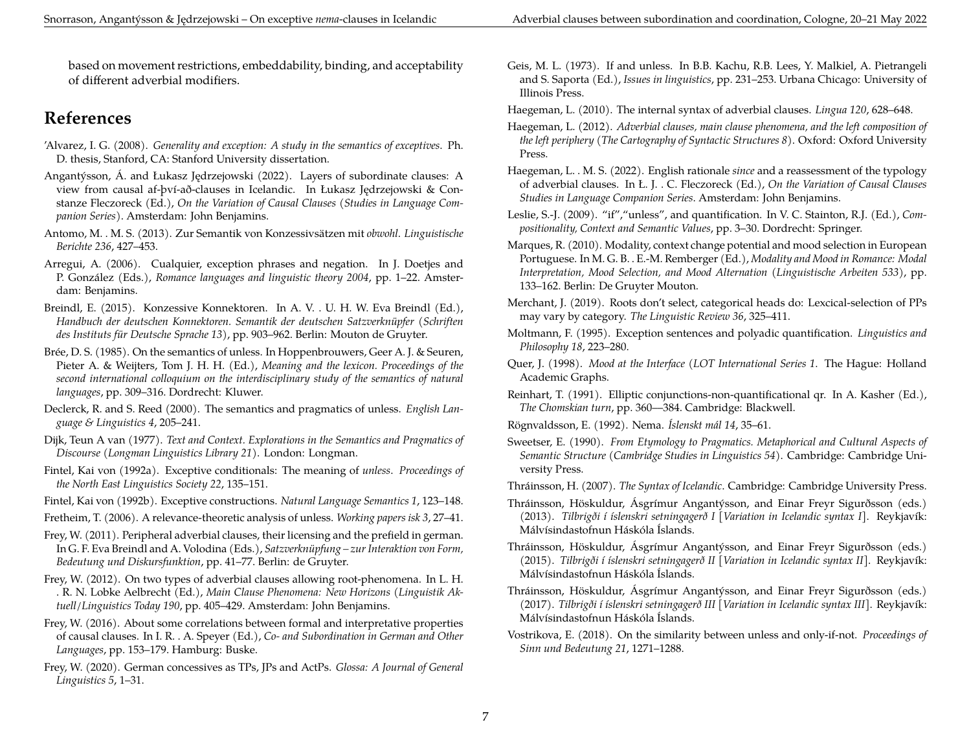based on movement restrictions, embeddability, binding, and acceptability of different adverbial modifiers.

### **References**

- <span id="page-6-12"></span>'Alvarez, I. G. (2008). *Generality and exception: A study in the semantics of exceptives*. Ph. D. thesis, Stanford, CA: Stanford University dissertation.
- <span id="page-6-31"></span>Angantýsson, Á. and Łukasz Jędrzejowski (2022). Layers of subordinate clauses: A view from causal af-því-að-clauses in Icelandic. In Łukasz Jędrzejowski & Constanze Fleczoreck (Ed.), *On the Variation of Causal Clauses (Studies in Language Companion Series)*. Amsterdam: John Benjamins.
- <span id="page-6-28"></span>Antomo, M. . M. S. (2013). Zur Semantik von Konzessivsätzen mit *obwohl*. *Linguistische Berichte 236*, 427–453.
- <span id="page-6-11"></span>Arregui, A. (2006). Cualquier, exception phrases and negation. In J. Doetjes and P. González (Eds.), *Romance languages and linguistic theory 2004*, pp. 1–22. Amsterdam: Benjamins.
- <span id="page-6-29"></span>Breindl, E. (2015). Konzessive Konnektoren. In A. V. . U. H. W. Eva Breindl (Ed.), *Handbuch der deutschen Konnektoren. Semantik der deutschen Satzverknüpfer (Schriften des Instituts für Deutsche Sprache 13)*, pp. 903–962. Berlin: Mouton de Gruyter.
- <span id="page-6-1"></span>Brée, D. S. (1985). On the semantics of unless. In Hoppenbrouwers, Geer A. J. & Seuren, Pieter A. & Weijters, Tom J. H. H. (Ed.), *Meaning and the lexicon. Proceedings of the second international colloquium on the interdisciplinary study of the semantics of natural languages*, pp. 309–316. Dordrecht: Kluwer.
- <span id="page-6-3"></span>Declerck, R. and S. Reed (2000). The semantics and pragmatics of unless. *English Language & Linguistics 4*, 205–241.
- <span id="page-6-25"></span>Dijk, Teun A van (1977). *Text and Context. Explorations in the Semantics and Pragmatics of Discourse (Longman Linguistics Library 21)*. London: Longman.
- <span id="page-6-2"></span>Fintel, Kai von (1992a). Exceptive conditionals: The meaning of *unless*. *Proceedings of the North East Linguistics Society 22*, 135–151.
- <span id="page-6-9"></span>Fintel, Kai von (1992b). Exceptive constructions. *Natural Language Semantics 1*, 123–148.
- <span id="page-6-4"></span>Fretheim, T. (2006). A relevance-theoretic analysis of unless. *Working papers isk 3*, 27–41.
- <span id="page-6-15"></span>Frey, W. (2011). Peripheral adverbial clauses, their licensing and the prefield in german. In G. F. Eva Breindl and A. Volodina (Eds.), *Satzverknüpfung – zur Interaktion von Form, Bedeutung und Diskursfunktion*, pp. 41–77. Berlin: de Gruyter.
- <span id="page-6-16"></span>Frey, W. (2012). On two types of adverbial clauses allowing root-phenomena. In L. H. . R. N. Lobke Aelbrecht (Ed.), *Main Clause Phenomena: New Horizons (Linguistik Aktuell/Linguistics Today 190*, pp. 405–429. Amsterdam: John Benjamins.
- <span id="page-6-17"></span>Frey, W. (2016). About some correlations between formal and interpretative properties of causal clauses. In I. R. . A. Speyer (Ed.), *Co- and Subordination in German and Other Languages*, pp. 153–179. Hamburg: Buske.
- <span id="page-6-30"></span>Frey, W. (2020). German concessives as TPs, JPs and ActPs. *Glossa: A Journal of General Linguistics 5*, 1–31.
- <span id="page-6-0"></span>Geis, M. L. (1973). If and unless. In B.B. Kachu, R.B. Lees, Y. Malkiel, A. Pietrangeli and S. Saporta (Ed.), *Issues in linguistics*, pp. 231–253. Urbana Chicago: University of Illinois Press.
- <span id="page-6-13"></span>Haegeman, L. (2010). The internal syntax of adverbial clauses. *Lingua 120*, 628–648.
- <span id="page-6-14"></span>Haegeman, L. (2012). *Adverbial clauses, main clause phenomena, and the left composition of the left periphery (The Cartography of Syntactic Structures 8)*. Oxford: Oxford University Press.
- <span id="page-6-27"></span>Haegeman, L. . M. S. (2022). English rationale *since* and a reassessment of the typology of adverbial clauses. In Ł. J. . C. Fleczoreck (Ed.), *On the Variation of Causal Clauses Studies in Language Companion Series*. Amsterdam: John Benjamins.
- <span id="page-6-5"></span>Leslie, S.-J. (2009). "if","unless", and quantification. In V. C. Stainton, R.J. (Ed.), *Compositionality, Context and Semantic Values*, pp. 3–30. Dordrecht: Springer.
- <span id="page-6-24"></span>Marques, R. (2010). Modality, context change potential and mood selection in European Portuguese. In M. G. B. . E.-M. Remberger (Ed.), *Modality and Mood in Romance: Modal Interpretation, Mood Selection, and Mood Alternation (Linguistische Arbeiten 533)*, pp. 133–162. Berlin: De Gruyter Mouton.
- <span id="page-6-19"></span>Merchant, J. (2019). Roots don't select, categorical heads do: Lexcical-selection of PPs may vary by category. *The Linguistic Review 36*, 325–411.
- <span id="page-6-10"></span>Moltmann, F. (1995). Exception sentences and polyadic quantification. *Linguistics and Philosophy 18*, 223–280.
- <span id="page-6-23"></span>Quer, J. (1998). *Mood at the Interface (LOT International Series 1*. The Hague: Holland Academic Graphs.
- <span id="page-6-8"></span>Reinhart, T. (1991). Elliptic conjunctions-non-quantificational qr. In A. Kasher (Ed.), *The Chomskian turn*, pp. 360––384. Cambridge: Blackwell.

<span id="page-6-7"></span>Rögnvaldsson, E. (1992). Nema. *Íslenskt mál 14*, 35–61.

<span id="page-6-26"></span>Sweetser, E. (1990). *From Etymology to Pragmatics. Metaphorical and Cultural Aspects of Semantic Structure (Cambridge Studies in Linguistics 54)*. Cambridge: Cambridge University Press.

<span id="page-6-18"></span>Thráinsson, H. (2007). *The Syntax of Icelandic*. Cambridge: Cambridge University Press.

- <span id="page-6-20"></span>Thráinsson, Höskuldur, Ásgrímur Angantýsson, and Einar Freyr Sigurðsson (eds.) (2013). *Tilbrigði í íslenskri setningagerð I [Variation in Icelandic syntax I]*. Reykjavík: Málvísindastofnun Háskóla Íslands.
- <span id="page-6-21"></span>Thráinsson, Höskuldur, Ásgrímur Angantýsson, and Einar Freyr Sigurðsson (eds.) (2015). *Tilbrigði í íslenskri setningagerð II [Variation in Icelandic syntax II]*. Reykjavík: Málvísindastofnun Háskóla Íslands.
- <span id="page-6-22"></span>Thráinsson, Höskuldur, Ásgrímur Angantýsson, and Einar Freyr Sigurðsson (eds.) (2017). *Tilbrigði í íslenskri setningagerð III [Variation in Icelandic syntax III]*. Reykjavík: Málvísindastofnun Háskóla Íslands.
- <span id="page-6-6"></span>Vostrikova, E. (2018). On the similarity between unless and only-if-not. *Proceedings of Sinn und Bedeutung 21*, 1271–1288.